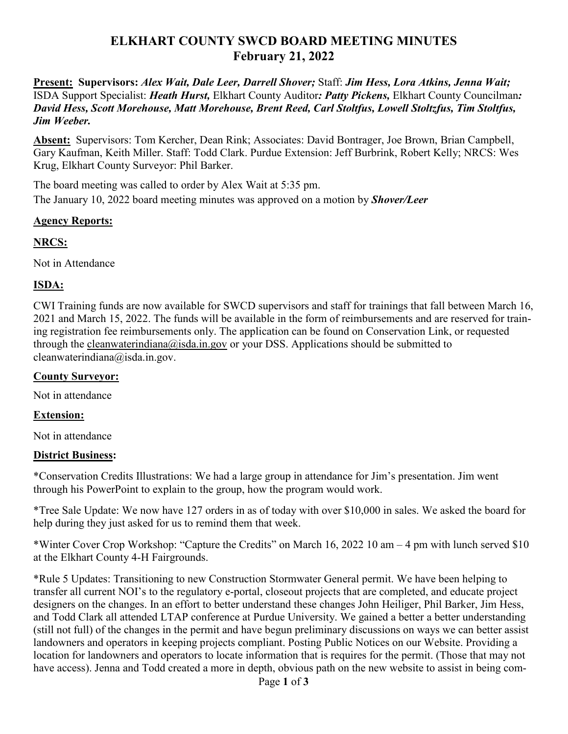# **ELKHART COUNTY SWCD BOARD MEETING MINUTES February 21, 2022**

**Present: Supervisors:** *Alex Wait, Dale Leer, Darrell Shover;* Staff: *Jim Hess, Lora Atkins, Jenna Wait;*  ISDA Support Specialist: *Heath Hurst,* Elkhart County Auditor*: Patty Pickens,* Elkhart County Councilman*: David Hess, Scott Morehouse, Matt Morehouse, Brent Reed, Carl Stoltfus, Lowell Stoltzfus, Tim Stoltfus, Jim Weeber.* 

**Absent:** Supervisors: Tom Kercher, Dean Rink; Associates: David Bontrager, Joe Brown, Brian Campbell, Gary Kaufman, Keith Miller. Staff: Todd Clark. Purdue Extension: Jeff Burbrink, Robert Kelly; NRCS: Wes Krug, Elkhart County Surveyor: Phil Barker.

The board meeting was called to order by Alex Wait at 5:35 pm. The January 10, 2022 board meeting minutes was approved on a motion by *Shover/Leer*

### **Agency Reports:**

## **NRCS:**

Not in Attendance

## **ISDA:**

CWI Training funds are now available for SWCD supervisors and staff for trainings that fall between March 16, 2021 and March 15, 2022. The funds will be available in the form of reimbursements and are reserved for training registration fee reimbursements only. The application can be found on Conservation Link, or requested through the cleanwaterindiana@isda.in.gov or your DSS. Applications should be submitted to cleanwaterindiana@isda.in.gov.

#### **County Surveyor:**

Not in attendance

## **Extension:**

Not in attendance

## **District Business:**

\*Conservation Credits Illustrations: We had a large group in attendance for Jim's presentation. Jim went through his PowerPoint to explain to the group, how the program would work.

\*Tree Sale Update: We now have 127 orders in as of today with over \$10,000 in sales. We asked the board for help during they just asked for us to remind them that week.

\*Winter Cover Crop Workshop: "Capture the Credits" on March 16, 2022 10 am – 4 pm with lunch served \$10 at the Elkhart County 4-H Fairgrounds.

\*Rule 5 Updates: Transitioning to new Construction Stormwater General permit. We have been helping to transfer all current NOI's to the regulatory e-portal, closeout projects that are completed, and educate project designers on the changes. In an effort to better understand these changes John Heiliger, Phil Barker, Jim Hess, and Todd Clark all attended LTAP conference at Purdue University. We gained a better a better understanding (still not full) of the changes in the permit and have begun preliminary discussions on ways we can better assist landowners and operators in keeping projects compliant. Posting Public Notices on our Website. Providing a location for landowners and operators to locate information that is requires for the permit. (Those that may not have access). Jenna and Todd created a more in depth, obvious path on the new website to assist in being com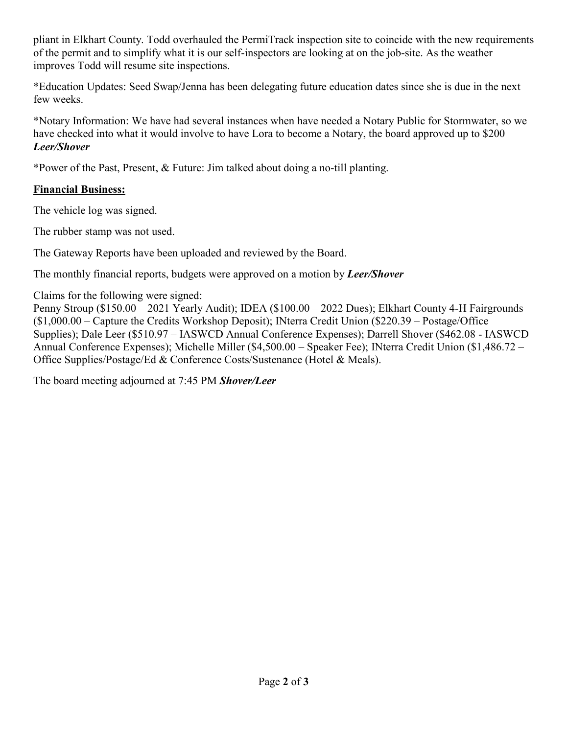pliant in Elkhart County. Todd overhauled the PermiTrack inspection site to coincide with the new requirements of the permit and to simplify what it is our self-inspectors are looking at on the job-site. As the weather improves Todd will resume site inspections.

\*Education Updates: Seed Swap/Jenna has been delegating future education dates since she is due in the next few weeks.

\*Notary Information: We have had several instances when have needed a Notary Public for Stormwater, so we have checked into what it would involve to have Lora to become a Notary, the board approved up to \$200 *Leer/Shover*

\*Power of the Past, Present, & Future: Jim talked about doing a no-till planting.

### **Financial Business:**

The vehicle log was signed.

The rubber stamp was not used.

The Gateway Reports have been uploaded and reviewed by the Board.

The monthly financial reports, budgets were approved on a motion by *Leer/Shover*

Claims for the following were signed:

Penny Stroup (\$150.00 – 2021 Yearly Audit); IDEA (\$100.00 – 2022 Dues); Elkhart County 4-H Fairgrounds (\$1,000.00 – Capture the Credits Workshop Deposit); INterra Credit Union (\$220.39 – Postage/Office Supplies); Dale Leer (\$510.97 – IASWCD Annual Conference Expenses); Darrell Shover (\$462.08 - IASWCD Annual Conference Expenses); Michelle Miller (\$4,500.00 – Speaker Fee); INterra Credit Union (\$1,486.72 – Office Supplies/Postage/Ed & Conference Costs/Sustenance (Hotel & Meals).

The board meeting adjourned at 7:45 PM *Shover/Leer*